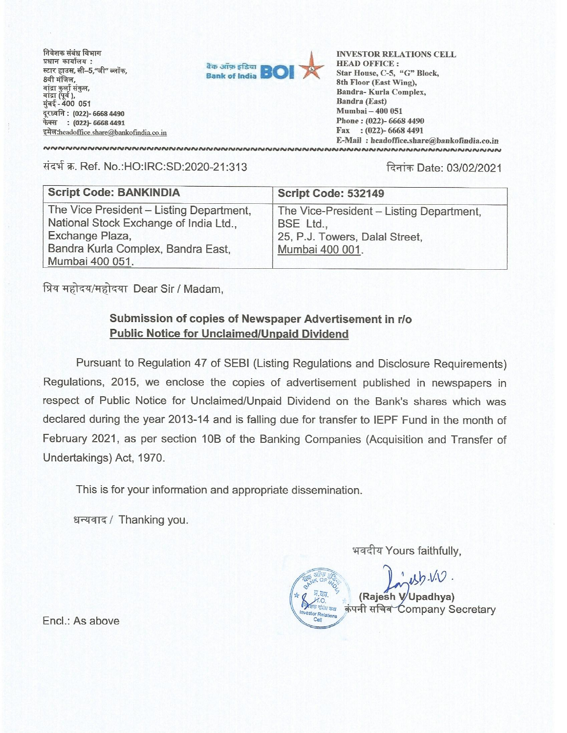निवेशक संबंध विभाग प्रधान कार्यालय: स्टार हाउस, सी–5,"जी" ब्लॉक, 8वी मंजिल, बांद्रा कुर्ला संकुल, बांद्रा (पूर्व ), मुंबई - 400 051 दूरध्वनि : (022)- 6668 4490 फेक्स : (022)- 6668 4491 इमेल: headoffice.share@bankofindia.co.in



**INVESTOR RELATIONS CELL HEAD OFFICE:** Star House, C-5, "G" Block, 8th Floor (East Wing), Bandra- Kurla Complex, **Bandra (East)** Mumbai - 400 051 Phone: (022)-6668 4490 Fax : (022)-6668 4491 E-Mail: headoffice.share@bankofindia.co.in 

संदर्भ क्र. Ref. No.:HO:IRC:SD:2020-21:313

दिनांक Date: 03/02/2021

| Script Code: 532149                                                                                        |
|------------------------------------------------------------------------------------------------------------|
| The Vice-President - Listing Department,<br>BSE Ltd.,<br>25, P.J. Towers, Dalal Street,<br>Mumbai 400 001. |
|                                                                                                            |

प्रिय महोदय/महोदया Dear Sir / Madam,

## Submission of copies of Newspaper Advertisement in r/o **Public Notice for Unclaimed/Unpaid Dividend**

Pursuant to Regulation 47 of SEBI (Listing Regulations and Disclosure Requirements) Regulations, 2015, we enclose the copies of advertisement published in newspapers in respect of Public Notice for Unclaimed/Unpaid Dividend on the Bank's shares which was declared during the year 2013-14 and is falling due for transfer to IEPF Fund in the month of February 2021, as per section 10B of the Banking Companies (Acquisition and Transfer of Undertakings) Act, 1970.

This is for your information and appropriate dissemination.

धन्यवाद / Thanking you.

भवदीय Yours faithfully,

(Rajesh V/Upadhya) क संस्थ कक्ष कंपनी सचिव Company Secretary estor Relation: Cell

Encl.: As above